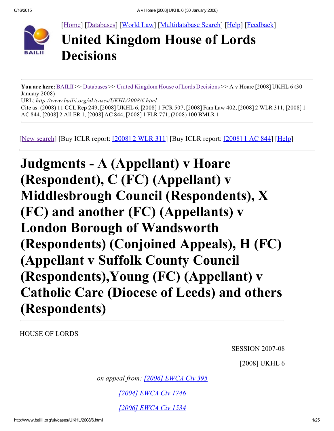[\[Home\]](http://www.bailii.org/) [[Databases\]](http://www.bailii.org/databases.html) [\[World](http://www.austlii.edu.au/links/World/) Law] [\[Multidatabase](http://www.bailii.org/form/search_multidatabase.html) Search] [\[Help](http://www.bailii.org/bailii/help/)] [[Feedback\]](http://www.bailii.org/bailii/feedback.html)



United Kingdom House of Lords Decisions

You are here: **[BAILII](http://www.bailii.org/)** >> [Databases](http://www.bailii.org/databases.html) >> United Kingdom House of Lords [Decisions](http://www.bailii.org/uk/cases/UKHL/) >> A v Hoare [2008] UKHL 6 (30 January 2008)

URL: http://www.bailii.org/uk/cases/UKHL/2008/6.html

Cite as: (2008) 11 CCL Rep 249, [2008] UKHL 6, [2008] 1 FCR 507, [2008] Fam Law 402, [2008] 2 WLR 311, [2008] 1 AC 844, [2008] 2 All ER 1, [2008] AC 844, [2008] 1 FLR 771, (2008) 100 BMLR 1

[New [search\]](http://www.bailii.org/form/search_cases.html) [Buy ICLR report: [\[2008\]](https://shop.iclr.co.uk/Subscr/welcome.aspx?docId=XAC2008-1-844) 2 WLR 311] [Buy ICLR report: [2008] 1 AC 844] [\[Help\]](http://www.bailii.org/bailii/help/)

# Judgments - A (Appellant) v Hoare (Respondent), C (FC) (Appellant) v Middlesbrough Council (Respondents), X (FC) and another (FC) (Appellants) v London Borough of Wandsworth (Respondents) (Conjoined Appeals), H (FC) (Appellant v Suffolk County Council (Respondents),Young (FC) (Appellant) v Catholic Care (Diocese of Leeds) and others (Respondents)

HOUSE OF LORDS

**SESSION 2007-08** 

[2008] UKHL 6

on appeal from: [\[2006\]](http://www.bailii.org/ew/cases/EWCA/Civ/2006/395.html) EWCA Civ 395

[\[2004\]](http://www.bailii.org/ew/cases/EWCA/Civ/2004/1746.html) EWCA Civ 1746

[\[2006\]](http://www.bailii.org/ew/cases/EWCA/Civ/2006/1534.html) EWCA Civ 1534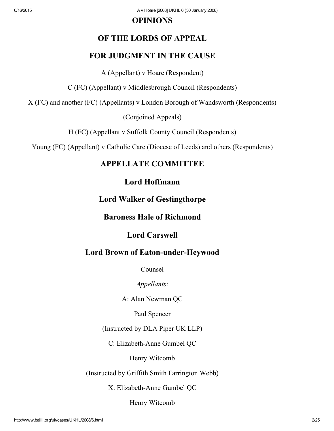6/16/2015 A v Hoare [2008] UKHL 6 (30 January 2008)

## OPINIONS

## OF THE LORDS OF APPEAL

## FOR JUDGMENT IN THE CAUSE

A (Appellant) v Hoare (Respondent)

C (FC) (Appellant) v Middlesbrough Council (Respondents)

X (FC) and another (FC) (Appellants) v London Borough of Wandsworth (Respondents)

(Conjoined Appeals)

H (FC) (Appellant v Suffolk County Council (Respondents)

Young (FC) (Appellant) v Catholic Care (Diocese of Leeds) and others (Respondents)

## APPELLATE COMMITTEE

## Lord Hoffmann

## Lord Walker of Gestingthorpe

## Baroness Hale of Richmond

## Lord Carswell

## Lord Brown of Eaton-under-Heywood

Counsel

Appellants:

A: Alan Newman QC

Paul Spencer

(Instructed by DLA Piper UK LLP)

C: Elizabeth-Anne Gumbel QC

Henry Witcomb

(Instructed by Griffith Smith Farrington Webb)

X: Elizabeth-Anne Gumbel QC

Henry Witcomb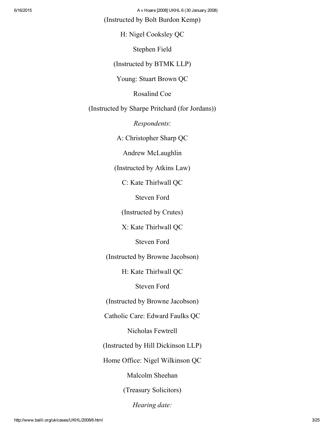6/16/2015 A v Hoare [2008] UKHL 6 (30 January 2008) (Instructed by Bolt Burdon Kemp)

H: Nigel Cooksley QC

Stephen Field

(Instructed by BTMK LLP)

Young: Stuart Brown QC

Rosalind Coe

(Instructed by Sharpe Pritchard (for Jordans))

Respondents:

A: Christopher Sharp QC

Andrew McLaughlin

(Instructed by Atkins Law)

C: Kate Thirlwall QC

Steven Ford

(Instructed by Crutes)

X: Kate Thirlwall QC

Steven Ford

(Instructed by Browne Jacobson)

H: Kate Thirlwall QC

Steven Ford

(Instructed by Browne Jacobson)

Catholic Care: Edward Faulks QC

Nicholas Fewtrell

(Instructed by Hill Dickinson LLP)

Home Office: Nigel Wilkinson QC

Malcolm Sheehan

(Treasury Solicitors)

Hearing date: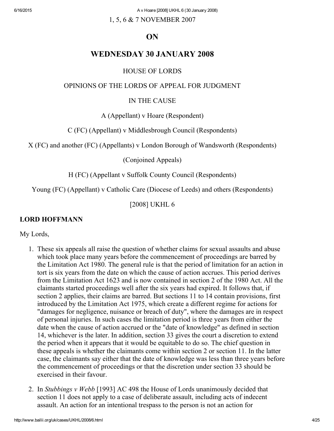6/16/2015 A v Hoare [2008] UKHL 6 (30 January 2008)

1, 5, 6 & 7 NOVEMBER 2007

#### **ON**

## WEDNESDAY 30 JANUARY 2008

#### HOUSE OF LORDS

#### OPINIONS OF THE LORDS OF APPEAL FOR JUDGMENT

#### IN THE CAUSE

#### A (Appellant) v Hoare (Respondent)

C (FC) (Appellant) v Middlesbrough Council (Respondents)

X (FC) and another (FC) (Appellants) v London Borough of Wandsworth (Respondents)

(Conjoined Appeals)

H (FC) (Appellant v Suffolk County Council (Respondents)

Young (FC) (Appellant) v Catholic Care (Diocese of Leeds) and others (Respondents)

[2008] UKHL 6

#### LORD HOFFMANN

My Lords,

- 1. These six appeals all raise the question of whether claims for sexual assaults and abuse which took place many years before the commencement of proceedings are barred by the Limitation Act 1980. The general rule is that the period of limitation for an action in tort is six years from the date on which the cause of action accrues. This period derives from the Limitation Act 1623 and is now contained in section 2 of the 1980 Act. All the claimants started proceedings well after the six years had expired. It follows that, if section 2 applies, their claims are barred. But sections 11 to 14 contain provisions, first introduced by the Limitation Act 1975, which create a different regime for actions for "damages for negligence, nuisance or breach of duty", where the damages are in respect of personal injuries. In such cases the limitation period is three years from either the date when the cause of action accrued or the "date of knowledge" as defined in section 14, whichever is the later. In addition, section 33 gives the court a discretion to extend the period when it appears that it would be equitable to do so. The chief question in these appeals is whether the claimants come within section 2 or section 11. In the latter case, the claimants say either that the date of knowledge was less than three years before the commencement of proceedings or that the discretion under section 33 should be exercised in their favour.
- 2. In Stubbings v Webb [1993] AC 498 the House of Lords unanimously decided that section 11 does not apply to a case of deliberate assault, including acts of indecent assault. An action for an intentional trespass to the person is not an action for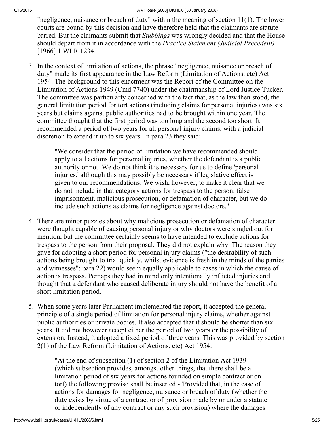"negligence, nuisance or breach of duty" within the meaning of section 11(1). The lower courts are bound by this decision and have therefore held that the claimants are statutebarred. But the claimants submit that Stubbings was wrongly decided and that the House should depart from it in accordance with the Practice Statement (Judicial Precedent) [1966] 1 WLR 1234.

3. In the context of limitation of actions, the phrase "negligence, nuisance or breach of duty" made its first appearance in the Law Reform (Limitation of Actions, etc) Act 1954. The background to this enactment was the Report of the Committee on the Limitation of Actions 1949 (Cmd 7740) under the chairmanship of Lord Justice Tucker. The committee was particularly concerned with the fact that, as the law then stood, the general limitation period for tort actions (including claims for personal injuries) was six years but claims against public authorities had to be brought within one year. The committee thought that the first period was too long and the second too short. It recommended a period of two years for all personal injury claims, with a judicial discretion to extend it up to six years. In para 23 they said:

> "We consider that the period of limitation we have recommended should apply to all actions for personal injuries, whether the defendant is a public authority or not. We do not think it is necessary for us to define 'personal injuries,' although this may possibly be necessary if legislative effect is given to our recommendations. We wish, however, to make it clear that we do not include in that category actions for trespass to the person, false imprisonment, malicious prosecution, or defamation of character, but we do include such actions as claims for negligence against doctors."

- 4. There are minor puzzles about why malicious prosecution or defamation of character were thought capable of causing personal injury or why doctors were singled out for mention, but the committee certainly seems to have intended to exclude actions for trespass to the person from their proposal. They did not explain why. The reason they gave for adopting a short period for personal injury claims ("the desirability of such actions being brought to trial quickly, whilst evidence is fresh in the minds of the parties and witnesses": para 22) would seem equally applicable to cases in which the cause of action is trespass. Perhaps they had in mind only intentionally inflicted injuries and thought that a defendant who caused deliberate injury should not have the benefit of a short limitation period.
- 5. When some years later Parliament implemented the report, it accepted the general principle of a single period of limitation for personal injury claims, whether against public authorities or private bodies. It also accepted that it should be shorter than six years. It did not however accept either the period of two years or the possibility of extension. Instead, it adopted a fixed period of three years. This was provided by section 2(1) of the Law Reform (Limitation of Actions, etc) Act 1954:

"At the end of subsection (1) of section 2 of the Limitation Act 1939 (which subsection provides, amongst other things, that there shall be a limitation period of six years for actions founded on simple contract or on tort) the following proviso shall be inserted 'Provided that, in the case of actions for damages for negligence, nuisance or breach of duty (whether the duty exists by virtue of a contract or of provision made by or under a statute or independently of any contract or any such provision) where the damages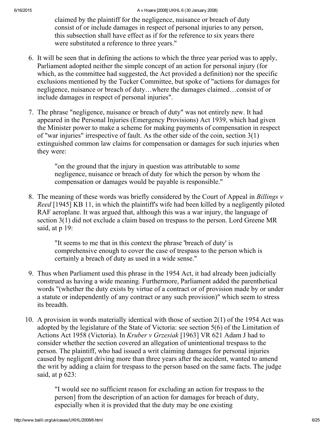claimed by the plaintiff for the negligence, nuisance or breach of duty consist of or include damages in respect of personal injuries to any person, this subsection shall have effect as if for the reference to six years there were substituted a reference to three years."

- 6. It will be seen that in defining the actions to which the three year period was to apply, Parliament adopted neither the simple concept of an action for personal injury (for which, as the committee had suggested, the Act provided a definition) nor the specific exclusions mentioned by the Tucker Committee, but spoke of "actions for damages for negligence, nuisance or breach of duty…where the damages claimed…consist of or include damages in respect of personal injuries".
- 7. The phrase "negligence, nuisance or breach of duty" was not entirely new. It had appeared in the Personal Injuries (Emergency Provisions) Act 1939, which had given the Minister power to make a scheme for making payments of compensation in respect of "war injuries" irrespective of fault. As the other side of the coin, section 3(1) extinguished common law claims for compensation or damages for such injuries when they were:

"on the ground that the injury in question was attributable to some negligence, nuisance or breach of duty for which the person by whom the compensation or damages would be payable is responsible."

8. The meaning of these words was briefly considered by the Court of Appeal in Billings v Reed [1945] KB 11, in which the plaintiff's wife had been killed by a negligently piloted RAF aeroplane. It was argued that, although this was a war injury, the language of section 3(1) did not exclude a claim based on trespass to the person. Lord Greene MR said, at p 19:

> "It seems to me that in this context the phrase 'breach of duty' is comprehensive enough to cover the case of trespass to the person which is certainly a breach of duty as used in a wide sense."

- 9. Thus when Parliament used this phrase in the 1954 Act, it had already been judicially construed as having a wide meaning. Furthermore, Parliament added the parenthetical words "(whether the duty exists by virtue of a contract or of provision made by or under a statute or independently of any contract or any such provision)" which seem to stress its breadth.
- 10. A provision in words materially identical with those of section 2(1) of the 1954 Act was adopted by the legislature of the State of Victoria: see section 5(6) of the Limitation of Actions Act 1958 (Victoria). In Kruber v Grzesiak [1963] VR 621 Adam J had to consider whether the section covered an allegation of unintentional trespass to the person. The plaintiff, who had issued a writ claiming damages for personal injuries caused by negligent driving more than three years after the accident, wanted to amend the writ by adding a claim for trespass to the person based on the same facts. The judge said, at p 623:

"I would see no sufficient reason for excluding an action for trespass to the person] from the description of an action for damages for breach of duty, especially when it is provided that the duty may be one existing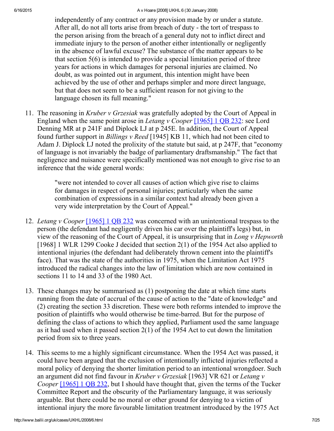independently of any contract or any provision made by or under a statute. After all, do not all torts arise from breach of duty - the tort of trespass to the person arising from the breach of a general duty not to inflict direct and immediate injury to the person of another either intentionally or negligently in the absence of lawful excuse? The substance of the matter appears to be that section 5(6) is intended to provide a special limitation period of three years for actions in which damages for personal injuries are claimed. No doubt, as was pointed out in argument, this intention might have been achieved by the use of other and perhaps simpler and more direct language, but that does not seem to be a sufficient reason for not giving to the language chosen its full meaning."

11. The reasoning in *Kruber v Grzesiak* was gratefully adopted by the Court of Appeal in England when the same point arose in *Letang v Cooper* [\[1965\]](http://www.bailii.org/cgi-bin/redirect.cgi?path=/ew/cases/EWCA/Civ/1964/5.html) 1 QB 232: see Lord Denning MR at p 241F and Diplock LJ at p 245E. In addition, the Court of Appeal found further support in Billings v Reed [1945] KB 11, which had not been cited to Adam J. Diplock LJ noted the prolixity of the statute but said, at p 247F, that "economy of language is not invariably the badge of parliamentary draftsmanship." The fact that negligence and nuisance were specifically mentioned was not enough to give rise to an inference that the wide general words:

> "were not intended to cover all causes of action which give rise to claims for damages in respect of personal injuries; particularly when the same combination of expressions in a similar context had already been given a very wide interpretation by the Court of Appeal."

- 12. Letang v Cooper [\[1965\]](http://www.bailii.org/cgi-bin/redirect.cgi?path=/ew/cases/EWCA/Civ/1964/5.html) 1 QB 232 was concerned with an unintentional trespass to the person (the defendant had negligently driven his car over the plaintiff's legs) but, in view of the reasoning of the Court of Appeal, it is unsurprising that in Long v Hepworth [1968] 1 WLR 1299 Cooke J decided that section 2(1) of the 1954 Act also applied to intentional injuries (the defendant had deliberately thrown cement into the plaintiff's face). That was the state of the authorities in 1975, when the Limitation Act 1975 introduced the radical changes into the law of limitation which are now contained in sections 11 to 14 and 33 of the 1980 Act.
- 13. These changes may be summarised as (1) postponing the date at which time starts running from the date of accrual of the cause of action to the "date of knowledge" and (2) creating the section 33 discretion. These were both reforms intended to improve the position of plaintiffs who would otherwise be time-barred. But for the purpose of defining the class of actions to which they applied, Parliament used the same language as it had used when it passed section 2(1) of the 1954 Act to cut down the limitation period from six to three years.
- 14. This seems to me a highly significant circumstance. When the 1954 Act was passed, it could have been argued that the exclusion of intentionally inflicted injuries reflected a moral policy of denying the shorter limitation period to an intentional wrongdoer. Such an argument did not find favour in Kruber v Grzesiak [1963] VR 621 or Letang v Cooper [\[1965\]](http://www.bailii.org/cgi-bin/redirect.cgi?path=/ew/cases/EWCA/Civ/1964/5.html) 1 QB 232, but I should have thought that, given the terms of the Tucker Committee Report and the obscurity of the Parliamentary language, it was seriously arguable. But there could be no moral or other ground for denying to a victim of intentional injury the more favourable limitation treatment introduced by the 1975 Act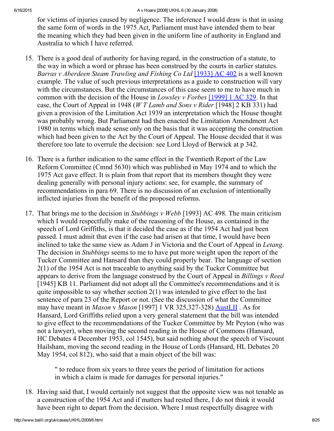for victims of injuries caused by negligence. The inference I would draw is that in using the same form of words in the 1975 Act, Parliament must have intended them to bear the meaning which they had been given in the uniform line of authority in England and Australia to which I have referred.

- 15. There is a good deal of authority for having regard, in the construction of a statute, to the way in which a word or phrase has been construed by the courts in earlier statutes. Barras v Aberdeen Steam Trawling and Fishing Co Ltd [\[1933\]](http://www.bailii.org/cgi-bin/redirect.cgi?path=/uk/cases/UKHL/1933/1933_SC_HL_21.html) AC 402 is a well known example. The value of such previous interpretations as a guide to construction will vary with the circumstances. But the circumstances of this case seem to me to have much in common with the decision of the House in Lowsley v Forbes [\[1999\]](http://www.bailii.org/cgi-bin/redirect.cgi?path=/uk/cases/UKHL/1998/34.html) 1 AC 329. In that case, the Court of Appeal in 1948 (W T Lamb and Sons v Rider [1948] 2 KB 331) had given a provision of the Limitation Act 1939 an interpretation which the House thought was probably wrong. But Parliament had then enacted the Limitation Amendment Act 1980 in terms which made sense only on the basis that it was accepting the construction which had been given to the Act by the Court of Appeal. The House decided that it was therefore too late to overrule the decision: see Lord Lloyd of Berwick at p 342.
- 16. There is a further indication to the same effect in the Twentieth Report of the Law Reform Committee (Cmnd 5630) which was published in May 1974 and to which the 1975 Act gave effect. It is plain from that report that its members thought they were dealing generally with personal injury actions: see, for example, the summary of recommendations in para 69. There is no discussion of an exclusion of intentionally inflicted injuries from the benefit of the proposed reforms.
- 17. That brings me to the decision in *Stubbings v Webb* [1993] AC 498. The main criticism which I would respectfully make of the reasoning of the House, as contained in the speech of Lord Griffiths, is that it decided the case as if the 1954 Act had just been passed. I must admit that even if the case had arisen at that time, I would have been inclined to take the same view as Adam J in Victoria and the Court of Appeal in Letang. The decision in Stubbings seems to me to have put more weight upon the report of the Tucker Committee and Hansard than they could properly bear. The language of section 2(1) of the 1954 Act is not traceable to anything said by the Tucker Committee but appears to derive from the language construed by the Court of Appeal in Billings v Reed [1945] KB 11. Parliament did not adopt all the Committee's recommendations and it is quite impossible to say whether section  $2(1)$  was intended to give effect to the last sentence of para 23 of the Report or not. (See the discussion of what the Committee may have meant in Mason v Mason [1997] 1 VR 325,327-328) [AustLII](http://www.austlii.edu.au/au/cases/vic/VSC/1996/50.html). As for Hansard, Lord Griffiths relied upon a very general statement that the bill was intended to give effect to the recommendations of the Tucker Committee by Mr Peyton (who was not a lawyer), when moving the second reading in the House of Commons (Hansard, HC Debates 4 December 1953, col 1545), but said nothing about the speech of Viscount Hailsham, moving the second reading in the House of Lords (Hansard, HL Debates 20 May 1954, col 812), who said that a main object of the bill was:

" to reduce from six years to three years the period of limitation for actions in which a claim is made for damages for personal injuries."

18. Having said that, I would certainly not suggest that the opposite view was not tenable as a construction of the 1954 Act and if matters had rested there, I do not think it would have been right to depart from the decision. Where I must respectfully disagree with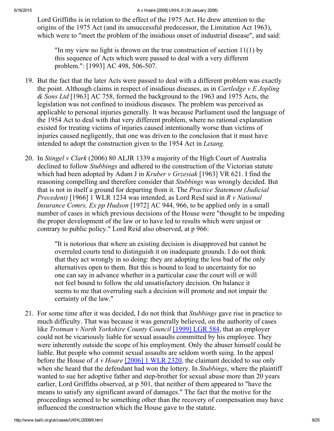6/16/2015 A v Hoare [2008] UKHL 6 (30 January 2008)

Lord Griffiths is in relation to the effect of the 1975 Act. He drew attention to the origins of the 1975 Act (and its unsuccessful predecessor, the Limitation Act 1963), which were to "meet the problem of the insidious onset of industrial disease", and said:

"In my view no light is thrown on the true construction of section 11(1) by this sequence of Acts which were passed to deal with a very different problem.": [1993] AC 498, 506-507.

- 19. But the fact that the later Acts were passed to deal with a different problem was exactly the point. Although claims in respect of insidious diseases, as in *Cartledge v E Jopling* & Sons Ltd [1963] AC 758, formed the background to the 1963 and 1975 Acts, the legislation was not confined to insidious diseases. The problem was perceived as applicable to personal injuries generally. It was because Parliament used the language of the 1954 Act to deal with that very different problem, where no rational explanation existed for treating victims of injuries caused intentionally worse than victims of injuries caused negligently, that one was driven to the conclusion that it must have intended to adopt the construction given to the 1954 Act in Letang.
- 20. In Stingel v Clark (2006) 80 ALJR 1339 a majority of the High Court of Australia declined to follow Stubbings and adhered to the construction of the Victorian statute which had been adopted by Adam J in *Kruber v Grzesiak* [1963] VR 621. I find the reasoning compelling and therefore consider that Stubbings was wrongly decided. But that is not in itself a ground for departing from it. The Practice Statement (Judicial Precedent) [1966] 1 WLR 1234 was intended, as Lord Reid said in R v National Insurance Comrs, Ex pp Hudson [1972] AC 944, 966, to be applied only in a small number of cases in which previous decisions of the House were "thought to be impeding the proper development of the law or to have led to results which were unjust or contrary to public policy." Lord Reid also observed, at p 966:

"It is notorious that where an existing decision is disapproved but cannot be overruled courts tend to distinguish it on inadequate grounds. I do not think that they act wrongly in so doing: they are adopting the less bad of the only alternatives open to them. But this is bound to lead to uncertainty for no one can say in advance whether in a particular case the court will or will not feel bound to follow the old unsatisfactory decision. On balance it seems to me that overruling such a decision will promote and not impair the certainty of the law."

21. For some time after it was decided, I do not think that Stubbings gave rise in practice to much difficulty. That was because it was generally believed, on the authority of cases like Trotman v North Yorkshire County Council [\[1999\]](http://www.bailii.org/cgi-bin/redirect.cgi?path=/ew/cases/EWCA/Civ/1998/1208.html) LGR 584, that an employer could not be vicariously liable for sexual assaults committed by his employee. They were inherently outside the scope of his employment. Only the abuser himself could be liable. But people who commit sexual assaults are seldom worth suing. In the appeal before the House of A v Hoare  $[2006]$  1 WLR 2320, the claimant decided to sue only when she heard that the defendant had won the lottery. In *Stubbings*, where the plaintiff wanted to sue her adoptive father and step-brother for sexual abuse more than 20 years earlier, Lord Griffiths observed, at p 501, that neither of them appeared to "have the means to satisfy any significant award of damages." The fact that the motive for the proceedings seemed to be something other than the recovery of compensation may have influenced the construction which the House gave to the statute.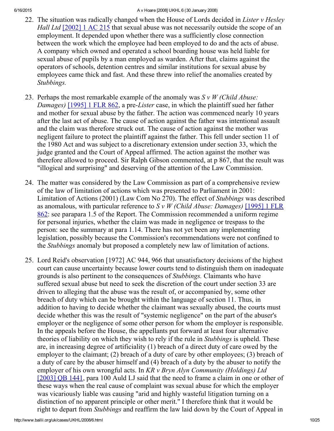- 22. The situation was radically changed when the House of Lords decided in *Lister v Hesley* Hall Ltd [\[2002\]](http://www.bailii.org/cgi-bin/redirect.cgi?path=/uk/cases/UKHL/2001/22.html) 1 AC 215 that sexual abuse was not necessarily outside the scope of an employment. It depended upon whether there was a sufficiently close connection between the work which the employee had been employed to do and the acts of abuse. A company which owned and operated a school boarding house was held liable for sexual abuse of pupils by a man employed as warden. After that, claims against the operators of schools, detention centres and similar institutions for sexual abuse by employees came thick and fast. And these threw into relief the anomalies created by Stubbings.
- 23. Perhaps the most remarkable example of the anomaly was  $S \nu W$  (Child Abuse: Damages) [\[1995\]](http://www.bailii.org/cgi-bin/redirect.cgi?path=/ew/cases/EWCA/Civ/1994/35.html) 1 FLR 862, a pre-Lister case, in which the plaintiff sued her father and mother for sexual abuse by the father. The action was commenced nearly 10 years after the last act of abuse. The cause of action against the father was intentional assault and the claim was therefore struck out. The cause of action against the mother was negligent failure to protect the plaintiff against the father. This fell under section 11 of the 1980 Act and was subject to a discretionary extension under section 33, which the judge granted and the Court of Appeal affirmed. The action against the mother was therefore allowed to proceed. Sir Ralph Gibson commented, at p 867, that the result was "illogical and surprising" and deserving of the attention of the Law Commission.
- 24. The matter was considered by the Law Commission as part of a comprehensive review of the law of limitation of actions which was presented to Parliament in 2001: Limitation of Actions (2001) (Law Com No 270). The effect of Stubbings was described as anomalous, with particular reference to S v W (Child Abuse: Damages)  $[1995]$  1 FLR 862: see parapara 1.5 of the Report. The Commission [recommended](http://www.bailii.org/cgi-bin/redirect.cgi?path=/ew/cases/EWCA/Civ/1994/35.html) a uniform regime for personal injuries, whether the claim was made in negligence or trespass to the person: see the summary at para 1.14. There has not yet been any implementing legislation, possibly because the Commission's recommendations were not confined to the Stubbings anomaly but proposed a completely new law of limitation of actions.
- 25. Lord Reid's observation [1972] AC 944, 966 that unsatisfactory decisions of the highest court can cause uncertainty because lower courts tend to distinguish them on inadequate grounds is also pertinent to the consequences of Stubbings. Claimants who have suffered sexual abuse but need to seek the discretion of the court under section 33 are driven to alleging that the abuse was the result of, or accompanied by, some other breach of duty which can be brought within the language of section 11. Thus, in addition to having to decide whether the claimant was sexually abused, the courts must decide whether this was the result of "systemic negligence" on the part of the abuser's employer or the negligence of some other person for whom the employer is responsible. In the appeals before the House, the appellants put forward at least four alternative theories of liability on which they wish to rely if the rule in Stubbings is upheld. These are, in increasing degree of artificiality (1) breach of a direct duty of care owed by the employer to the claimant; (2) breach of a duty of care by other employees; (3) breach of a duty of care by the abuser himself and (4) breach of a duty by the abuser to notify the employer of his own wrongful acts. In KR v Bryn Alyn Community (Holdings) Ltd [\[2003\]](http://www.bailii.org/cgi-bin/redirect.cgi?path=/ew/cases/EWCA/Civ/2003/85.html) OB 1441, para 100 Auld LJ said that the need to frame a claim in one or other of these ways when the real cause of complaint was sexual abuse for which the employer was vicariously liable was causing "arid and highly wasteful litigation turning on a distinction of no apparent principle or other merit." I therefore think that it would be right to depart from Stubbings and reaffirm the law laid down by the Court of Appeal in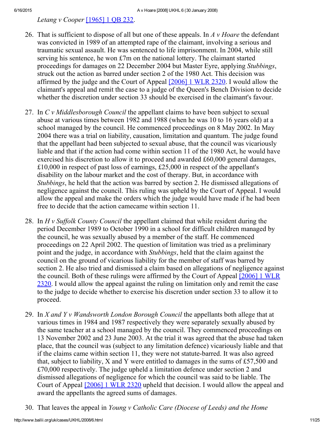#### Letang v Cooper [\[1965\]](http://www.bailii.org/cgi-bin/redirect.cgi?path=/ew/cases/EWCA/Civ/1964/5.html) 1 QB 232.

- 26. That is sufficient to dispose of all but one of these appeals. In  $A \nu$  Hoare the defendant was convicted in 1989 of an attempted rape of the claimant, involving a serious and traumatic sexual assault. He was sentenced to life imprisonment. In 2004, while still serving his sentence, he won £7m on the national lottery. The claimant started proceedings for damages on 22 December 2004 but Master Eyre, applying Stubbings, struck out the action as barred under section 2 of the 1980 Act. This decision was affirmed by the judge and the Court of Appeal [\[2006\]](http://www.bailii.org/cgi-bin/redirect.cgi?path=/ew/cases/EWCA/Civ/2006/395.html) 1 WLR 2320. I would allow the claimant's appeal and remit the case to a judge of the Queen's Bench Division to decide whether the discretion under section 33 should be exercised in the claimant's favour.
- 27. In  $C$  v Middlesborough Council the appellant claims to have been subject to sexual abuse at various times between 1982 and 1988 (when he was 10 to 16 years old) at a school managed by the council. He commenced proceedings on 8 May 2002. In May 2004 there was a trial on liability, causation, limitation and quantum. The judge found that the appellant had been subjected to sexual abuse, that the council was vicariously liable and that if the action had come within section 11 of the 1980 Act, he would have exercised his discretion to allow it to proceed and awarded £60,000 general damages, £10,000 in respect of past loss of earnings, £25,000 in respect of the appellant's disability on the labour market and the cost of therapy. But, in accordance with Stubbings, he held that the action was barred by section 2. He dismissed allegations of negligence against the council. This ruling was upheld by the Court of Appeal. I would allow the appeal and make the orders which the judge would have made if he had been free to decide that the action camecame within section 11.
- 28. In  $H v$  Suffolk County Council the appellant claimed that while resident during the period December 1989 to October 1990 in a school for difficult children managed by the council, he was sexually abused by a member of the staff. He commenced proceedings on 22 April 2002. The question of limitation was tried as a preliminary point and the judge, in accordance with Stubbings, held that the claim against the council on the ground of vicarious liability for the member of staff was barred by section 2. He also tried and dismissed a claim based on allegations of negligence against the council. Both of these rulings were affirmed by the Court of Appeal [2006] 1 WLR 2320. I would allow the appeal against the ruling on [limitation](http://www.bailii.org/cgi-bin/redirect.cgi?path=/ew/cases/EWCA/Civ/2006/395.html) only and remit the case to the judge to decide whether to exercise his discretion under section 33 to allow it to proceed.
- 29. In X and Y v Wandsworth London Borough Council the appellants both allege that at various times in 1984 and 1987 respectively they were separately sexually abused by the same teacher at a school managed by the council. They commenced proceedings on 13 November 2002 and 23 June 2003. At the trial it was agreed that the abuse had taken place, that the council was (subject to any limitation defence) vicariously liable and that if the claims came within section 11, they were not statute-barred. It was also agreed that, subject to liability, X and Y were entitled to damages in the sums of £57,500 and £70,000 respectively. The judge upheld a limitation defence under section 2 and dismissed allegations of negligence for which the council was said to be liable. The Court of Appeal [\[2006\]](http://www.bailii.org/cgi-bin/redirect.cgi?path=/ew/cases/EWCA/Civ/2006/395.html) 1 WLR 2320 upheld that decision. I would allow the appeal and award the appellants the agreed sums of damages.
- 30. That leaves the appeal in *Young v Catholic Care (Diocese of Leeds) and the Home*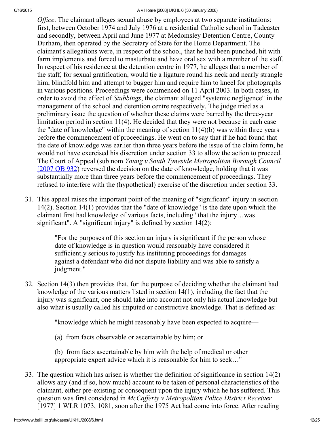6/16/2015 A v Hoare [2008] UKHL 6 (30 January 2008)

Office. The claimant alleges sexual abuse by employees at two separate institutions: first, between October 1974 and July 1976 at a residential Catholic school in Tadcaster and secondly, between April and June 1977 at Medomsley Detention Centre, County Durham, then operated by the Secretary of State for the Home Department. The claimant's allegations were, in respect of the school, that he had been punched, hit with farm implements and forced to masturbate and have oral sex with a member of the staff. In respect of his residence at the detention centre in 1977, he alleges that a member of the staff, for sexual gratification, would tie a ligature round his neck and nearly strangle him, blindfold him and attempt to bugger him and require him to kneel for photographs in various positions. Proceedings were commenced on 11 April 2003. In both cases, in order to avoid the effect of Stubbings, the claimant alleged "systemic negligence" in the management of the school and detention centre respectively. The judge tried as a preliminary issue the question of whether these claims were barred by the three-year limitation period in section 11(4). He decided that they were not because in each case the "date of knowledge" within the meaning of section  $11(4)(b)$  was within three years before the commencement of proceedings. He went on to say that if he had found that the date of knowledge was earlier than three years before the issue of the claim form, he would not have exercised his discretion under section 33 to allow the action to proceed. The Court of Appeal (sub nom Young v South Tyneside Metropolitan Borough Council [\[2007](http://www.bailii.org/cgi-bin/redirect.cgi?path=/ew/cases/EWCA/Civ/2006/1534.html) QB 932) reversed the decision on the date of knowledge, holding that it was substantially more than three years before the commencement of proceedings. They refused to interfere with the (hypothetical) exercise of the discretion under section 33.

31. This appeal raises the important point of the meaning of "significant" injury in section 14(2). Section 14(1) provides that the "date of knowledge" is the date upon which the claimant first had knowledge of various facts, including "that the injury…was significant". A "significant injury" is defined by section 14(2):

> "For the purposes of this section an injury is significant if the person whose date of knowledge is in question would reasonably have considered it sufficiently serious to justify his instituting proceedings for damages against a defendant who did not dispute liability and was able to satisfy a judgment."

32. Section 14(3) then provides that, for the purpose of deciding whether the claimant had knowledge of the various matters listed in section 14(1), including the fact that the injury was significant, one should take into account not only his actual knowledge but also what is usually called his imputed or constructive knowledge. That is defined as:

"knowledge which he might reasonably have been expected to acquire—

(a) from facts observable or ascertainable by him; or

(b) from facts ascertainable by him with the help of medical or other appropriate expert advice which it is reasonable for him to seek…"

33. The question which has arisen is whether the definition of significance in section 14(2) allows any (and if so, how much) account to be taken of personal characteristics of the claimant, either pre-existing or consequent upon the injury which he has suffered. This question was first considered in McCafferty v Metropolitan Police District Receiver [1977] 1 WLR 1073, 1081, soon after the 1975 Act had come into force. After reading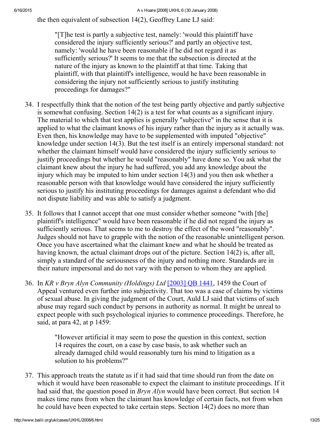the then equivalent of subsection 14(2), Geoffrey Lane LJ said:

"[T]he test is partly a subjective test, namely: 'would this plaintiff have considered the injury sufficiently serious?' and partly an objective test, namely: 'would he have been reasonable if he did not regard it as sufficiently serious?' It seems to me that the subsection is directed at the nature of the injury as known to the plaintiff at that time. Taking that plaintiff, with that plaintiff's intelligence, would he have been reasonable in considering the injury not sufficiently serious to justify instituting proceedings for damages?"

- 34. I respectfully think that the notion of the test being partly objective and partly subjective is somewhat confusing. Section 14(2) is a test for what counts as a significant injury. The material to which that test applies is generally "subjective" in the sense that it is applied to what the claimant knows of his injury rather than the injury as it actually was. Even then, his knowledge may have to be supplemented with imputed "objective" knowledge under section 14(3). But the test itself is an entirely impersonal standard: not whether the claimant himself would have considered the injury sufficiently serious to justify proceedings but whether he would "reasonably" have done so. You ask what the claimant knew about the injury he had suffered, you add any knowledge about the injury which may be imputed to him under section 14(3) and you then ask whether a reasonable person with that knowledge would have considered the injury sufficiently serious to justify his instituting proceedings for damages against a defendant who did not dispute liability and was able to satisfy a judgment.
- 35. It follows that I cannot accept that one must consider whether someone "with [the] plaintiff's intelligence" would have been reasonable if he did not regard the injury as sufficiently serious. That seems to me to destroy the effect of the word "reasonably". Judges should not have to grapple with the notion of the reasonable unintelligent person. Once you have ascertained what the claimant knew and what he should be treated as having known, the actual claimant drops out of the picture. Section 14(2) is, after all, simply a standard of the seriousness of the injury and nothing more. Standards are in their nature impersonal and do not vary with the person to whom they are applied.
- 36. In KR v Bryn Alyn Community (Holdings) Ltd [\[2003\]](http://www.bailii.org/cgi-bin/redirect.cgi?path=/ew/cases/EWCA/Civ/2003/85.html) QB 1441, 1459 the Court of Appeal ventured even further into subjectivity. That too was a case of claims by victims of sexual abuse. In giving the judgment of the Court, Auld LJ said that victims of such abuse may regard such conduct by persons in authority as normal. It might be unreal to expect people with such psychological injuries to commence proceedings. Therefore, he said, at para 42, at p 1459:

"However artificial it may seem to pose the question in this context, section 14 requires the court, on a case by case basis, to ask whether such an already damaged child would reasonably turn his mind to litigation as a solution to his problems?"

37. This approach treats the statute as if it had said that time should run from the date on which it would have been reasonable to expect the claimant to institute proceedings. If it had said that, the question posed in *Bryn Alyn* would have been correct. But section 14 makes time runs from when the claimant has knowledge of certain facts, not from when he could have been expected to take certain steps. Section 14(2) does no more than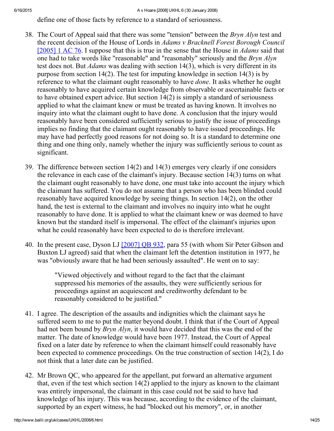define one of those facts by reference to a standard of seriousness.

- 38. The Court of Appeal said that there was some "tension" between the Bryn Alyn test and the recent decision of the House of Lords in Adams v Bracknell Forest Borough Council [\[2005\]](http://www.bailii.org/cgi-bin/redirect.cgi?path=/uk/cases/UKHL/2004/29.html) 1 AC 76. I suppose that this is true in the sense that the House in *Adams* said that one had to take words like "reasonable" and "reasonably" seriously and the Bryn Alyn test does not. But Adams was dealing with section 14(3), which is very different in its purpose from section 14(2). The test for imputing knowledge in section 14(3) is by reference to what the claimant ought reasonably to have *done*. It asks whether he ought reasonably to have acquired certain knowledge from observable or ascertainable facts or to have obtained expert advice. But section 14(2) is simply a standard of seriousness applied to what the claimant knew or must be treated as having known. It involves no inquiry into what the claimant ought to have done. A conclusion that the injury would reasonably have been considered sufficiently serious to justify the issue of proceedings implies no finding that the claimant ought reasonably to have issued proceedings. He may have had perfectly good reasons for not doing so. It is a standard to determine one thing and one thing only, namely whether the injury was sufficiently serious to count as significant.
- 39. The difference between section 14(2) and 14(3) emerges very clearly if one considers the relevance in each case of the claimant's injury. Because section 14(3) turns on what the claimant ought reasonably to have done, one must take into account the injury which the claimant has suffered. You do not assume that a person who has been blinded could reasonably have acquired knowledge by seeing things. In section 14(2), on the other hand, the test is external to the claimant and involves no inquiry into what he ought reasonably to have done. It is applied to what the claimant knew or was deemed to have known but the standard itself is impersonal. The effect of the claimant's injuries upon what he could reasonably have been expected to do is therefore irrelevant.
- 40. In the present case, Dyson LJ [\[2007\]](http://www.bailii.org/cgi-bin/redirect.cgi?path=/ew/cases/EWCA/Civ/2006/1534.html) QB 932, para 55 (with whom Sir Peter Gibson and Buxton LJ agreed) said that when the claimant left the detention institution in 1977, he was "obviously aware that he had been seriously assaulted". He went on to say:

"Viewed objectively and without regard to the fact that the claimant suppressed his memories of the assaults, they were sufficiently serious for proceedings against an acquiescent and creditworthy defendant to be reasonably considered to be justified."

- 41. I agree. The description of the assaults and indignities which the claimant says he suffered seem to me to put the matter beyond doubt. I think that if the Court of Appeal had not been bound by *Bryn Alyn*, it would have decided that this was the end of the matter. The date of knowledge would have been 1977. Instead, the Court of Appeal fixed on a later date by reference to when the claimant himself could reasonably have been expected to commence proceedings. On the true construction of section 14(2), I do not think that a later date can be justified.
- 42. Mr Brown QC, who appeared for the appellant, put forward an alternative argument that, even if the test which section 14(2) applied to the injury as known to the claimant was entirely impersonal, the claimant in this case could not be said to have had knowledge of his injury. This was because, according to the evidence of the claimant, supported by an expert witness, he had "blocked out his memory", or, in another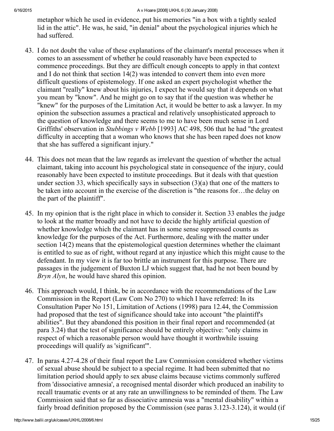metaphor which he used in evidence, put his memories "in a box with a tightly sealed lid in the attic". He was, he said, "in denial" about the psychological injuries which he had suffered.

- 43. I do not doubt the value of these explanations of the claimant's mental processes when it comes to an assessment of whether he could reasonably have been expected to commence proceedings. But they are difficult enough concepts to apply in that context and I do not think that section 14(2) was intended to convert them into even more difficult questions of epistemology. If one asked an expert psychologist whether the claimant "really" knew about his injuries, I expect he would say that it depends on what you mean by "know". And he might go on to say that if the question was whether he "knew" for the purposes of the Limitation Act, it would be better to ask a lawyer. In my opinion the subsection assumes a practical and relatively unsophisticated approach to the question of knowledge and there seems to me to have been much sense in Lord Griffiths' observation in Stubbings v Webb [1993] AC 498, 506 that he had "the greatest difficulty in accepting that a woman who knows that she has been raped does not know that she has suffered a significant injury."
- 44. This does not mean that the law regards as irrelevant the question of whether the actual claimant, taking into account his psychological state in consequence of the injury, could reasonably have been expected to institute proceedings. But it deals with that question under section 33, which specifically says in subsection (3)(a) that one of the matters to be taken into account in the exercise of the discretion is "the reasons for…the delay on the part of the plaintiff".
- 45. In my opinion that is the right place in which to consider it. Section 33 enables the judge to look at the matter broadly and not have to decide the highly artificial question of whether knowledge which the claimant has in some sense suppressed counts as knowledge for the purposes of the Act. Furthermore, dealing with the matter under section 14(2) means that the epistemological question determines whether the claimant is entitled to sue as of right, without regard at any injustice which this might cause to the defendant. In my view it is far too brittle an instrument for this purpose. There are passages in the judgement of Buxton LJ which suggest that, had he not been bound by Bryn Alyn, he would have shared this opinion.
- 46. This approach would, I think, be in accordance with the recommendations of the Law Commission in the Report (Law Com No 270) to which I have referred: In its Consultation Paper No 151, Limitation of Actions (1998) para 12.44, the Commission had proposed that the test of significance should take into account "the plaintiff's abilities". But they abandoned this position in their final report and recommended (at para 3.24) that the test of significance should be entirely objective: "only claims in respect of which a reasonable person would have thought it worthwhile issuing proceedings will qualify as 'significant'".
- 47. In paras 4.27-4.28 of their final report the Law Commission considered whether victims of sexual abuse should be subject to a special regime. It had been submitted that no limitation period should apply to sex abuse claims because victims commonly suffered from 'dissociative amnesia', a recognised mental disorder which produced an inability to recall traumatic events or at any rate an unwillingness to be reminded of them. The Law Commission said that so far as dissociative amnesia was a "mental disability" within a fairly broad definition proposed by the Commission (see paras  $3.123-3.124$ ), it would (if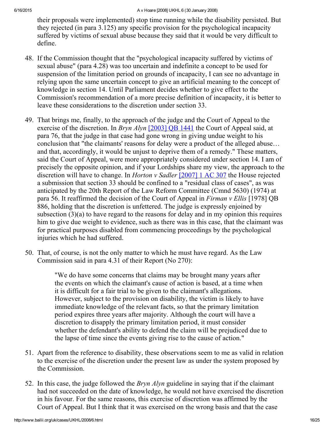their proposals were implemented) stop time running while the disability persisted. But they rejected (in para 3.125) any specific provision for the psychological incapacity suffered by victims of sexual abuse because they said that it would be very difficult to define.

- 48. If the Commission thought that the "psychological incapacity suffered by victims of sexual abuse" (para 4.28) was too uncertain and indefinite a concept to be used for suspension of the limitation period on grounds of incapacity, I can see no advantage in relying upon the same uncertain concept to give an artificial meaning to the concept of knowledge in section 14. Until Parliament decides whether to give effect to the Commission's recommendation of a more precise definition of incapacity, it is better to leave these considerations to the discretion under section 33.
- 49. That brings me, finally, to the approach of the judge and the Court of Appeal to the exercise of the discretion. In *Bryn Alyn* [\[2003\]](http://www.bailii.org/cgi-bin/redirect.cgi?path=/ew/cases/EWCA/Civ/2003/85.html) QB 1441 the Court of Appeal said, at para 76, that the judge in that case had gone wrong in giving undue weight to his conclusion that "the claimants' reasons for delay were a product of the alleged abuse… and that, accordingly, it would be unjust to deprive them of a remedy." These matters, said the Court of Appeal, were more appropriately considered under section 14. I am of precisely the opposite opinion, and if your Lordships share my view, the approach to the discretion will have to change. In Horton v Sadler [\[2007\]](http://www.bailii.org/cgi-bin/redirect.cgi?path=/uk/cases/UKHL/2006/27.html) 1 AC 307 the House rejected a submission that section 33 should be confined to a "residual class of cases", as was anticipated by the 20th Report of the Law Reform Committee (Cmnd 5630) (1974) at para 56. It reaffirmed the decision of the Court of Appeal in Firman v Ellis [1978] QB 886, holding that the discretion is unfettered. The judge is expressly enjoined by subsection (3)(a) to have regard to the reasons for delay and in my opinion this requires him to give due weight to evidence, such as there was in this case, that the claimant was for practical purposes disabled from commencing proceedings by the psychological injuries which he had suffered.
- 50. That, of course, is not the only matter to which he must have regard. As the Law Commission said in para 4.31 of their Report (No 270):

"We do have some concerns that claims may be brought many years after the events on which the claimant's cause of action is based, at a time when it is difficult for a fair trial to be given to the claimant's allegations. However, subject to the provision on disability, the victim is likely to have immediate knowledge of the relevant facts, so that the primary limitation period expires three years after majority. Although the court will have a discretion to disapply the primary limitation period, it must consider whether the defendant's ability to defend the claim will be prejudiced due to the lapse of time since the events giving rise to the cause of action."

- 51. Apart from the reference to disability, these observations seem to me as valid in relation to the exercise of the discretion under the present law as under the system proposed by the Commission.
- 52. In this case, the judge followed the *Bryn Alyn* guideline in saying that if the claimant had not succeeded on the date of knowledge, he would not have exercised the discretion in his favour. For the same reasons, this exercise of discretion was affirmed by the Court of Appeal. But I think that it was exercised on the wrong basis and that the case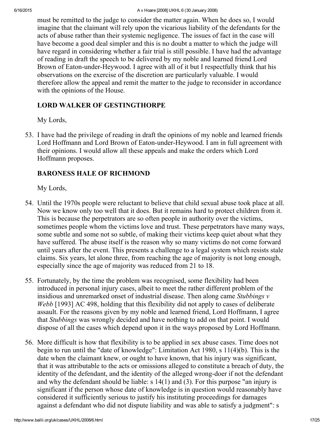must be remitted to the judge to consider the matter again. When he does so, I would imagine that the claimant will rely upon the vicarious liability of the defendants for the acts of abuse rather than their systemic negligence. The issues of fact in the case will have become a good deal simpler and this is no doubt a matter to which the judge will have regard in considering whether a fair trial is still possible. I have had the advantage of reading in draft the speech to be delivered by my noble and learned friend Lord Brown of Eaton-under-Heywood. I agree with all of it but I respectfully think that his observations on the exercise of the discretion are particularly valuable. I would therefore allow the appeal and remit the matter to the judge to reconsider in accordance with the opinions of the House.

## LORD WALKER OF GESTINGTHORPE

My Lords,

53. I have had the privilege of reading in draft the opinions of my noble and learned friends Lord Hoffmann and Lord Brown of Eaton-under-Heywood. I am in full agreement with their opinions. I would allow all these appeals and make the orders which Lord Hoffmann proposes.

## BARONESS HALE OF RICHMOND

My Lords,

- 54. Until the 1970s people were reluctant to believe that child sexual abuse took place at all. Now we know only too well that it does. But it remains hard to protect children from it. This is because the perpetrators are so often people in authority over the victims, sometimes people whom the victims love and trust. These perpetrators have many ways, some subtle and some not so subtle, of making their victims keep quiet about what they have suffered. The abuse itself is the reason why so many victims do not come forward until years after the event. This presents a challenge to a legal system which resists stale claims. Six years, let alone three, from reaching the age of majority is not long enough, especially since the age of majority was reduced from 21 to 18.
- 55. Fortunately, by the time the problem was recognised, some flexibility had been introduced in personal injury cases, albeit to meet the rather different problem of the insidious and unremarked onset of industrial disease. Then along came Stubbings v Webb [1993] AC 498, holding that this flexibility did not apply to cases of deliberate assault. For the reasons given by my noble and learned friend, Lord Hoffmann, I agree that Stubbings was wrongly decided and have nothing to add on that point. I would dispose of all the cases which depend upon it in the ways proposed by Lord Hoffmann.
- 56. More difficult is how that flexibility is to be applied in sex abuse cases. Time does not begin to run until the "date of knowledge": Limitation Act 1980, s 11(4)(b). This is the date when the claimant knew, or ought to have known, that his injury was significant, that it was attributable to the acts or omissions alleged to constitute a breach of duty, the identity of the defendant, and the identity of the alleged wrong-doer if not the defendant and why the defendant should be liable: s 14(1) and (3). For this purpose "an injury is significant if the person whose date of knowledge is in question would reasonably have considered it sufficiently serious to justify his instituting proceedings for damages against a defendant who did not dispute liability and was able to satisfy a judgment": s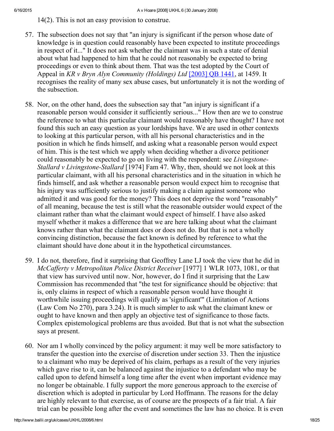14(2). This is not an easy provision to construe.

- 57. The subsection does not say that "an injury is significant if the person whose date of knowledge is in question could reasonably have been expected to institute proceedings in respect of it..." It does not ask whether the claimant was in such a state of denial about what had happened to him that he could not reasonably be expected to bring proceedings or even to think about them. That was the test adopted by the Court of Appeal in KR v Bryn Alyn Community (Holdings) Ltd [\[2003\]](http://www.bailii.org/cgi-bin/redirect.cgi?path=/ew/cases/EWCA/Civ/2003/85.html) QB 1441, at 1459. It recognises the reality of many sex abuse cases, but unfortunately it is not the wording of the subsection.
- 58. Nor, on the other hand, does the subsection say that "an injury is significant if a reasonable person would consider it sufficiently serious..." How then are we to construe the reference to what this particular claimant would reasonably have thought? I have not found this such an easy question as your lordships have. We are used in other contexts to looking at this particular person, with all his personal characteristics and in the position in which he finds himself, and asking what a reasonable person would expect of him. This is the test which we apply when deciding whether a divorce petitioner could reasonably be expected to go on living with the respondent: see Livingstone-Stallard v Livingstone-Stallard [1974] Fam 47. Why, then, should we not look at this particular claimant, with all his personal characteristics and in the situation in which he finds himself, and ask whether a reasonable person would expect him to recognise that his injury was sufficiently serious to justify making a claim against someone who admitted it and was good for the money? This does not deprive the word "reasonably" of all meaning, because the test is still what the reasonable outsider would expect of the claimant rather than what the claimant would expect of himself. I have also asked myself whether it makes a difference that we are here talking about what the claimant knows rather than what the claimant does or does not do. But that is not a wholly convincing distinction, because the fact known is defined by reference to what the claimant should have done about it in the hypothetical circumstances.
- 59. I do not, therefore, find it surprising that Geoffrey Lane LJ took the view that he did in McCafferty v Metropolitan Police District Receiver [1977] 1 WLR 1073, 1081, or that that view has survived until now. Nor, however, do I find it surprising that the Law Commission has recommended that "the test for significance should be objective: that is, only claims in respect of which a reasonable person would have thought it worthwhile issuing proceedings will qualify as 'significant'" (Limitation of Actions (Law Com No 270), para 3.24). It is much simpler to ask what the claimant knew or ought to have known and then apply an objective test of significance to those facts. Complex epistemological problems are thus avoided. But that is not what the subsection says at present.
- 60. Nor am I wholly convinced by the policy argument: it may well be more satisfactory to transfer the question into the exercise of discretion under section 33. Then the injustice to a claimant who may be deprived of his claim, perhaps as a result of the very injuries which gave rise to it, can be balanced against the injustice to a defendant who may be called upon to defend himself a long time after the event when important evidence may no longer be obtainable. I fully support the more generous approach to the exercise of discretion which is adopted in particular by Lord Hoffmann. The reasons for the delay are highly relevant to that exercise, as of course are the prospects of a fair trial. A fair trial can be possible long after the event and sometimes the law has no choice. It is even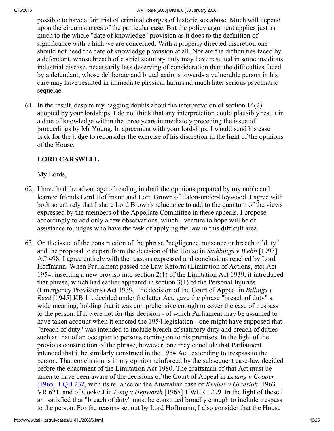possible to have a fair trial of criminal charges of historic sex abuse. Much will depend upon the circumstances of the particular case. But the policy argument applies just as much to the whole "date of knowledge" provision as it does to the definition of significance with which we are concerned. With a properly directed discretion one should not need the date of knowledge provision at all. Nor are the difficulties faced by a defendant, whose breach of a strict statutory duty may have resulted in some insidious industrial disease, necessarily less deserving of consideration than the difficulties faced by a defendant, whose deliberate and brutal actions towards a vulnerable person in his care may have resulted in immediate physical harm and much later serious psychiatric sequelae.

61. In the result, despite my nagging doubts about the interpretation of section 14(2) adopted by your lordships, I do not think that any interpretation could plausibly result in a date of knowledge within the three years immediately preceding the issue of proceedings by Mr Young. In agreement with your lordships, I would send his case back for the judge to reconsider the exercise of his discretion in the light of the opinions of the House.

## LORD CARSWELL

My Lords,

- 62. I have had the advantage of reading in draft the opinions prepared by my noble and learned friends Lord Hoffmann and Lord Brown of Eaton-under-Heywood. I agree with both so entirely that I share Lord Brown's reluctance to add to the quantum of the views expressed by the members of the Appellate Committee in these appeals. I propose accordingly to add only a few observations, which I venture to hope will be of assistance to judges who have the task of applying the law in this difficult area.
- 63. On the issue of the construction of the phrase "negligence, nuisance or breach of duty" and the proposal to depart from the decision of the House in Stubbings v Webb [1993] AC 498, I agree entirely with the reasons expressed and conclusions reached by Lord Hoffmann. When Parliament passed the Law Reform (Limitation of Actions, etc) Act 1954, inserting a new proviso into section 2(1) of the Limitation Act 1939, it introduced that phrase, which had earlier appeared in section 3(1) of the Personal Injuries (Emergency Provisions) Act 1939. The decision of the Court of Appeal in Billings  $\nu$ Reed [1945] KB 11, decided under the latter Act, gave the phrase "breach of duty" a wide meaning, holding that it was comprehensive enough to cover the case of trespass to the person. If it were not for this decision - of which Parliament may be assumed to have taken account when it enacted the 1954 legislation - one might have supposed that "breach of duty" was intended to include breach of statutory duty and breach of duties such as that of an occupier to persons coming on to his premises. In the light of the previous construction of the phrase, however, one may conclude that Parliament intended that it be similarly construed in the 1954 Act, extending to trespass to the person. That conclusion is in my opinion reinforced by the subsequent case-law decided before the enactment of the Limitation Act 1980. The draftsman of that Act must be taken to have been aware of the decisions of the Court of Appeal in Letang v Cooper [\[1965\]](http://www.bailii.org/cgi-bin/redirect.cgi?path=/ew/cases/EWCA/Civ/1964/5.html) 1 QB 232, with its reliance on the Australian case of *Kruber v Grzesiak* [1963] VR 621, and of Cooke J in Long v Hepworth [1968] 1 WLR 1299. In the light of these I am satisfied that "breach of duty" must be construed broadly enough to include trespass to the person. For the reasons set out by Lord Hoffmann, I also consider that the House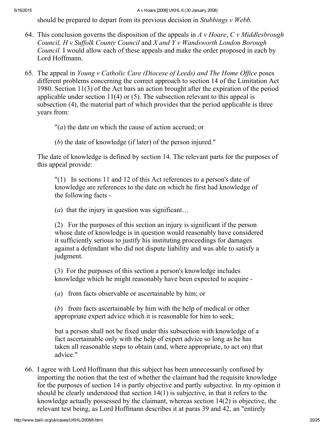should be prepared to depart from its previous decision in *Stubbings v Webb*.

- 64. This conclusion governs the disposition of the appeals in A v Hoare, C v Middlesbrough Council,  $H v$  Suffolk County Council and  $X$  and  $Y v$  Wandsworth London Borough Council. I would allow each of these appeals and make the order proposed in each by Lord Hoffmann.
- 65. The appeal in Young v Catholic Care (Diocese of Leeds) and The Home Office poses different problems concerning the correct approach to section 14 of the Limitation Act 1980. Section 11(3) of the Act bars an action brought after the expiration of the period applicable under section 11(4) or (5). The subsection relevant to this appeal is subsection (4), the material part of which provides that the period applicable is three years from:

 $''(a)$  the date on which the cause of action accrued; or

(b) the date of knowledge (if later) of the person injured."

The date of knowledge is defined by section 14. The relevant parts for the purposes of this appeal provide:

"(1) In sections 11 and 12 of this Act references to a person's date of knowledge are references to the date on which he first had knowledge of the following facts

(*a*) that the injury in question was significant...

(2) For the purposes of this section an injury is significant if the person whose date of knowledge is in question would reasonably have considered it sufficiently serious to justify his instituting proceedings for damages against a defendant who did not dispute liability and was able to satisfy a judgment.

(3) For the purposes of this section a person's knowledge includes knowledge which he might reasonably have been expected to acquire

(a) from facts observable or ascertainable by him; or

(b) from facts ascertainable by him with the help of medical or other appropriate expert advice which it is reasonable for him to seek;

but a person shall not be fixed under this subsection with knowledge of a fact ascertainable only with the help of expert advice so long as he has taken all reasonable steps to obtain (and, where appropriate, to act on) that advice."

66. I agree with Lord Hoffmann that this subject has been unnecessarily confused by importing the notion that the test of whether the claimant had the requisite knowledge for the purposes of section 14 is partly objective and partly subjective. In my opinion it should be clearly understood that section 14(1) is subjective, in that it refers to the knowledge actually possessed by the claimant, whereas section 14(2) is objective, the relevant test being, as Lord Hoffmann describes it at paras 39 and 42, an "entirely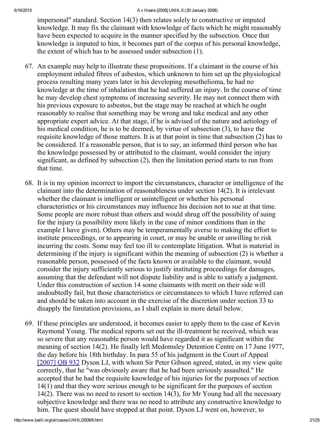impersonal" standard. Section 14(3) then relates solely to constructive or imputed knowledge. It may fix the claimant with knowledge of facts which he might reasonably have been expected to acquire in the manner specified by the subsection. Once that knowledge is imputed to him, it becomes part of the corpus of his personal knowledge, the extent of which has to be assessed under subsection (1).

- 67. An example may help to illustrate these propositions. If a claimant in the course of his employment inhaled fibres of asbestos, which unknown to him set up the physiological process resulting many years later in his developing mesothelioma, he had no knowledge at the time of inhalation that he had suffered an injury. In the course of time he may develop chest symptoms of increasing severity. He may not connect them with his previous exposure to asbestos, but the stage may be reached at which he ought reasonably to realise that something may be wrong and take medical and any other appropriate expert advice. At that stage, if he is advised of the nature and aetiology of his medical condition, he is to be deemed, by virtue of subsection (3), to have the requisite knowledge of those matters. It is at that point in time that subsection (2) has to be considered. If a reasonable person, that is to say, an informed third person who has the knowledge possessed by or attributed to the claimant, would consider the injury significant, as defined by subsection (2), then the limitation period starts to run from that time.
- 68. It is in my opinion incorrect to import the circumstances, character or intelligence of the claimant into the determination of reasonableness under section 14(2). It is irrelevant whether the claimant is intelligent or unintelligent or whether his personal characteristics or his circumstances may influence his decision not to sue at that time. Some people are more robust than others and would shrug off the possibility of suing for the injury (a possibility more likely in the case of minor conditions than in the example I have given). Others may be temperamentally averse to making the effort to institute proceedings, or to appearing in court, or may be unable or unwilling to risk incurring the costs. Some may feel too ill to contemplate litigation. What is material in determining if the injury is significant within the meaning of subsection (2) is whether a reasonable person, possessed of the facts known or available to the claimant, would consider the injury sufficiently serious to justify instituting proceedings for damages, assuming that the defendant will not dispute liability and is able to satisfy a judgment. Under this construction of section 14 some claimants with merit on their side will undoubtedly fail, but those characteristics or circumstances to which I have referred can and should be taken into account in the exercise of the discretion under section 33 to disapply the limitation provisions, as I shall explain in more detail below.
- 69. If these principles are understood, it becomes easier to apply them to the case of Kevin Raymond Young. The medical reports set out the ill-treatment he received, which was so severe that any reasonable person would have regarded it as significant within the meaning of section 14(2). He finally left Medomsley Detention Centre on 17 June 1977, the day before his 18th birthday. In para 55 of his judgment in the Court of Appeal [\[2007\]](http://www.bailii.org/cgi-bin/redirect.cgi?path=/ew/cases/EWCA/Civ/2006/1534.html) QB 932 Dyson LJ, with whom Sir Peter Gibson agreed, stated, in my view quite correctly, that he "was obviously aware that he had been seriously assaulted." He accepted that he had the requisite knowledge of his injuries for the purposes of section 14(1) and that they were serious enough to be significant for the purposes of section 14(2). There was no need to resort to section 14(3), for Mr Young had all the necessary subjective knowledge and there was no need to attribute any constructive knowledge to him. The quest should have stopped at that point. Dyson LJ went on, however, to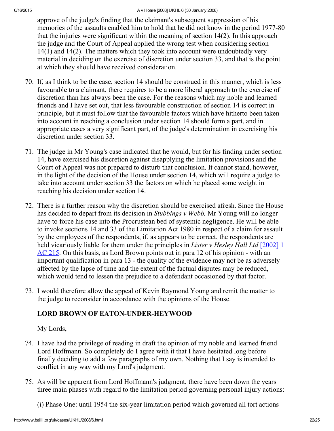approve of the judge's finding that the claimant's subsequent suppression of his memories of the assaults enabled him to hold that he did not know in the period 1977-80 that the injuries were significant within the meaning of section 14(2). In this approach the judge and the Court of Appeal applied the wrong test when considering section 14(1) and 14(2). The matters which they took into account were undoubtedly very material in deciding on the exercise of discretion under section 33, and that is the point at which they should have received consideration.

- 70. If, as I think to be the case, section 14 should be construed in this manner, which is less favourable to a claimant, there requires to be a more liberal approach to the exercise of discretion than has always been the case. For the reasons which my noble and learned friends and I have set out, that less favourable construction of section 14 is correct in principle, but it must follow that the favourable factors which have hitherto been taken into account in reaching a conclusion under section 14 should form a part, and in appropriate cases a very significant part, of the judge's determination in exercising his discretion under section 33.
- 71. The judge in Mr Young's case indicated that he would, but for his finding under section 14, have exercised his discretion against disapplying the limitation provisions and the Court of Appeal was not prepared to disturb that conclusion. It cannot stand, however, in the light of the decision of the House under section 14, which will require a judge to take into account under section 33 the factors on which he placed some weight in reaching his decision under section 14.
- 72. There is a further reason why the discretion should be exercised afresh. Since the House has decided to depart from its decision in *Stubbings v Webb*, Mr Young will no longer have to force his case into the Procrustean bed of systemic negligence. He will be able to invoke sections 14 and 33 of the Limitation Act 1980 in respect of a claim for assault by the employees of the respondents, if, as appears to be correct, the respondents are held [vicariously](http://www.bailii.org/cgi-bin/redirect.cgi?path=/uk/cases/UKHL/2001/22.html) liable for them under the principles in *Lister v Hesley Hall Ltd* [2002] 1 AC 215. On this basis, as Lord Brown points out in para 12 of his opinion - with an important qualification in para 13 - the quality of the evidence may not be as adversely affected by the lapse of time and the extent of the factual disputes may be reduced, which would tend to lessen the prejudice to a defendant occasioned by that factor.
- 73. I would therefore allow the appeal of Kevin Raymond Young and remit the matter to the judge to reconsider in accordance with the opinions of the House.

## LORD BROWN OF EATON-UNDER-HEYWOOD

My Lords,

- 74. I have had the privilege of reading in draft the opinion of my noble and learned friend Lord Hoffmann. So completely do I agree with it that I have hesitated long before finally deciding to add a few paragraphs of my own. Nothing that I say is intended to conflict in any way with my Lord's judgment.
- 75. As will be apparent from Lord Hoffmann's judgment, there have been down the years three main phases with regard to the limitation period governing personal injury actions:
	- $(i)$  Phase One: until 1954 the six-year limitation period which governed all tort actions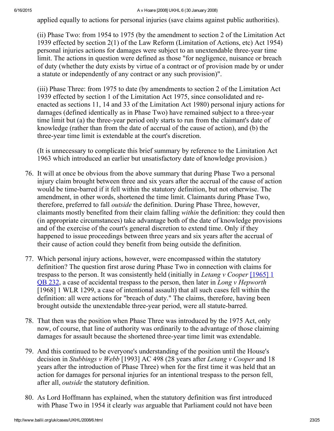applied equally to actions for personal injuries (save claims against public authorities).

(ii) Phase Two: from 1954 to 1975 (by the amendment to section 2 of the Limitation Act 1939 effected by section 2(1) of the Law Reform (Limitation of Actions, etc) Act 1954) personal injuries actions for damages were subject to an unextendable three-year time limit. The actions in question were defined as those "for negligence, nuisance or breach of duty (whether the duty exists by virtue of a contract or of provision made by or under a statute or independently of any contract or any such provision)".

(iii) Phase Three: from 1975 to date (by amendments to section 2 of the Limitation Act 1939 effected by section 1 of the Limitation Act 1975, since consolidated and reenacted as sections 11, 14 and 33 of the Limitation Act 1980) personal injury actions for damages (defined identically as in Phase Two) have remained subject to a three-year time limit but (a) the three-year period only starts to run from the claimant's date of knowledge (rather than from the date of accrual of the cause of action), and (b) the three-year time limit is extendable at the court's discretion.

(It is unnecessary to complicate this brief summary by reference to the Limitation Act 1963 which introduced an earlier but unsatisfactory date of knowledge provision.)

- 76. It will at once be obvious from the above summary that during Phase Two a personal injury claim brought between three and six years after the accrual of the cause of action would be time-barred if it fell within the statutory definition, but not otherwise. The amendment, in other words, shortened the time limit. Claimants during Phase Two, therefore, preferred to fall outside the definition. During Phase Three, however, claimants mostly benefited from their claim falling within the definition: they could then (in appropriate circumstances) take advantage both of the date of knowledge provisions and of the exercise of the court's general discretion to extend time. Only if they happened to issue proceedings between three years and six years after the accrual of their cause of action could they benefit from being outside the definition.
- 77. Which personal injury actions, however, were encompassed within the statutory definition? The question first arose during Phase Two in connection with claims for trespass to the person. It was [consistently](http://www.bailii.org/cgi-bin/redirect.cgi?path=/ew/cases/EWCA/Civ/1964/5.html) held (initially in Letang v Cooper  $[1965]$  1 QB 232, a case of accidental trespass to the person, then later in Long v Hepworth [1968] 1 WLR 1299, a case of intentional assault) that all such cases fell within the definition: all were actions for "breach of duty." The claims, therefore, having been brought outside the unextendable three-year period, were all statute-barred.
- 78. That then was the position when Phase Three was introduced by the 1975 Act, only now, of course, that line of authority was ordinarily to the advantage of those claiming damages for assault because the shortened three-year time limit was extendable.
- 79. And this continued to be everyone's understanding of the position until the House's decision in Stubbings v Webb [1993] AC 498 (28 years after Letang v Cooper and 18 years after the introduction of Phase Three) when for the first time it was held that an action for damages for personal injuries for an intentional trespass to the person fell, after all, outside the statutory definition.
- 80. As Lord Hoffmann has explained, when the statutory definition was first introduced with Phase Two in 1954 it clearly was arguable that Parliament could not have been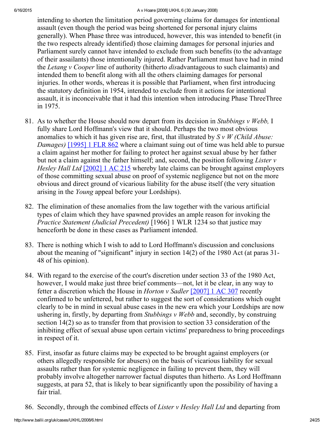intending to shorten the limitation period governing claims for damages for intentional assault (even though the period was being shortened for personal injury claims generally). When Phase three was introduced, however, this was intended to benefit (in the two respects already identified) those claiming damages for personal injuries and Parliament surely cannot have intended to exclude from such benefits (to the advantage of their assailants) those intentionally injured. Rather Parliament must have had in mind the Letang v Cooper line of authority (hitherto disadvantageous to such claimants) and intended them to benefit along with all the others claiming damages for personal injuries. In other words, whereas it is possible that Parliament, when first introducing the statutory definition in 1954, intended to exclude from it actions for intentional assault, it is inconceivable that it had this intention when introducing Phase ThreeThree in 1975.

- 81. As to whether the House should now depart from its decision in *Stubbings v Webb*, I fully share Lord Hoffmann's view that it should. Perhaps the two most obvious anomalies to which it has given rise are, first, that illustrated by  $S \vee W$  (Child Abuse: Damages) [\[1995\]](http://www.bailii.org/cgi-bin/redirect.cgi?path=/ew/cases/EWCA/Civ/1994/35.html) 1 FLR 862 where a claimant suing out of time was held able to pursue a claim against her mother for failing to protect her against sexual abuse by her father but not a claim against the father himself; and, second, the position following *Lister* v Hesley Hall Ltd [\[2002\]](http://www.bailii.org/cgi-bin/redirect.cgi?path=/uk/cases/UKHL/2001/22.html) 1 AC 215 whereby late claims can be brought against employers of those committing sexual abuse on proof of systemic negligence but not on the more obvious and direct ground of vicarious liability for the abuse itself (the very situation arising in the Young appeal before your Lordships).
- 82. The elimination of these anomalies from the law together with the various artificial types of claim which they have spawned provides an ample reason for invoking the Practice Statement (Judicial Precedent) [1966] 1 WLR 1234 so that justice may henceforth be done in these cases as Parliament intended.
- 83. There is nothing which I wish to add to Lord Hoffmann's discussion and conclusions about the meaning of "significant" injury in section 14(2) of the 1980 Act (at paras 31 48 of his opinion).
- 84. With regard to the exercise of the court's discretion under section 33 of the 1980 Act, however, I would make just three brief comments—not, let it be clear, in any way to fetter a discretion which the House in *Horton v Sadler* [\[2007\]](http://www.bailii.org/cgi-bin/redirect.cgi?path=/uk/cases/UKHL/2006/27.html) 1 AC 307 recently confirmed to be unfettered, but rather to suggest the sort of considerations which ought clearly to be in mind in sexual abuse cases in the new era which your Lordships are now ushering in, firstly, by departing from *Stubbings v Webb* and, secondly, by construing section 14(2) so as to transfer from that provision to section 33 consideration of the inhibiting effect of sexual abuse upon certain victims' preparedness to bring proceedings in respect of it.
- 85. First, insofar as future claims may be expected to be brought against employers (or others allegedly responsible for abusers) on the basis of vicarious liability for sexual assaults rather than for systemic negligence in failing to prevent them, they will probably involve altogether narrower factual disputes than hitherto. As Lord Hoffmann suggests, at para 52, that is likely to bear significantly upon the possibility of having a fair trial.
- 86. Secondly, through the combined effects of Lister v Hesley Hall Ltd and departing from